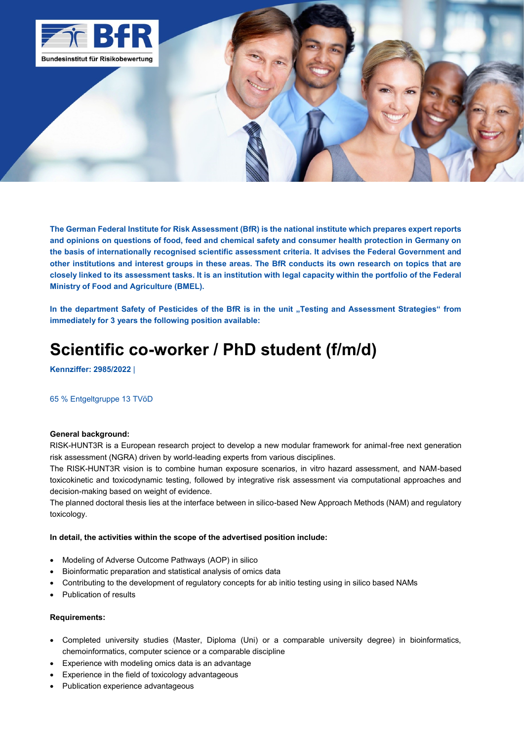

**The German Federal Institute for Risk Assessment (BfR) is the national institute which prepares expert reports and opinions on questions of food, feed and chemical safety and consumer health protection in Germany on the basis of internationally recognised scientific assessment criteria. It advises the Federal Government and other institutions and interest groups in these areas. The BfR conducts its own research on topics that are closely linked to its assessment tasks. It is an institution with legal capacity within the portfolio of the Federal Ministry of Food and Agriculture (BMEL).**

In the department Safety of Pesticides of the BfR is in the unit "Testing and Assessment Strategies" from **immediately for 3 years the following position available:**

# **Scientific co-worker / PhD student (f/m/d)**

**Kennziffer: 2985/2022** |

# 65 % Entgeltgruppe 13 TVöD

#### **General background:**

RISK-HUNT3R is a European research project to develop a new modular framework for animal-free next generation risk assessment (NGRA) driven by world-leading experts from various disciplines.

The RISK-HUNT3R vision is to combine human exposure scenarios, in vitro hazard assessment, and NAM-based toxicokinetic and toxicodynamic testing, followed by integrative risk assessment via computational approaches and decision-making based on weight of evidence.

The planned doctoral thesis lies at the interface between in silico-based New Approach Methods (NAM) and regulatory toxicology.

#### **In detail, the activities within the scope of the advertised position include:**

- Modeling of Adverse Outcome Pathways (AOP) in silico
- Bioinformatic preparation and statistical analysis of omics data
- Contributing to the development of regulatory concepts for ab initio testing using in silico based NAMs
- Publication of results

#### **Requirements:**

- Completed university studies (Master, Diploma (Uni) or a comparable university degree) in bioinformatics, chemoinformatics, computer science or a comparable discipline
- Experience with modeling omics data is an advantage
- Experience in the field of toxicology advantageous
- Publication experience advantageous